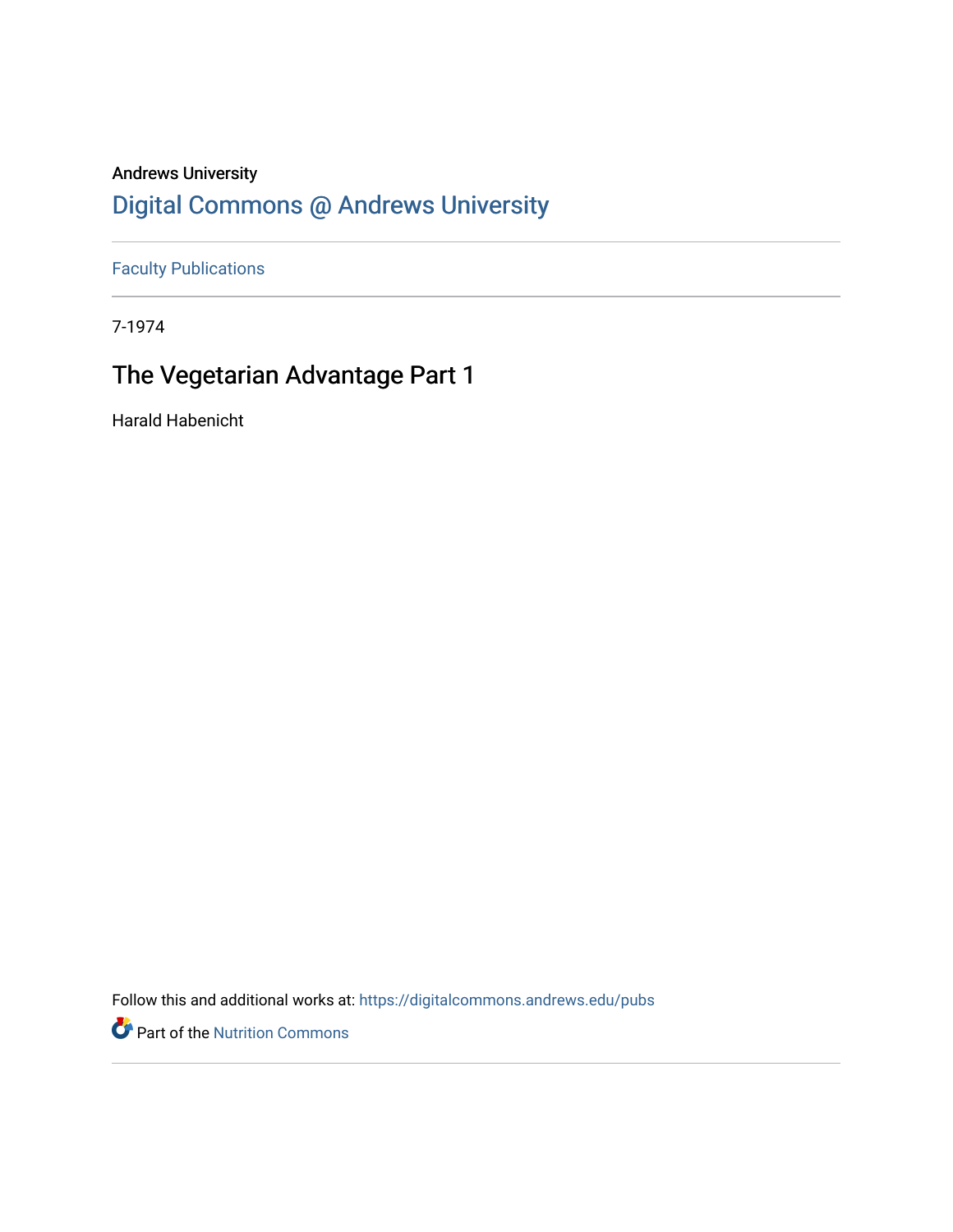## Andrews University [Digital Commons @ Andrews University](https://digitalcommons.andrews.edu/)

[Faculty Publications](https://digitalcommons.andrews.edu/pubs)

7-1974

## The Vegetarian Advantage Part 1

Harald Habenicht

Follow this and additional works at: [https://digitalcommons.andrews.edu/pubs](https://digitalcommons.andrews.edu/pubs?utm_source=digitalcommons.andrews.edu%2Fpubs%2F3684&utm_medium=PDF&utm_campaign=PDFCoverPages) 

Part of the [Nutrition Commons](http://network.bepress.com/hgg/discipline/95?utm_source=digitalcommons.andrews.edu%2Fpubs%2F3684&utm_medium=PDF&utm_campaign=PDFCoverPages)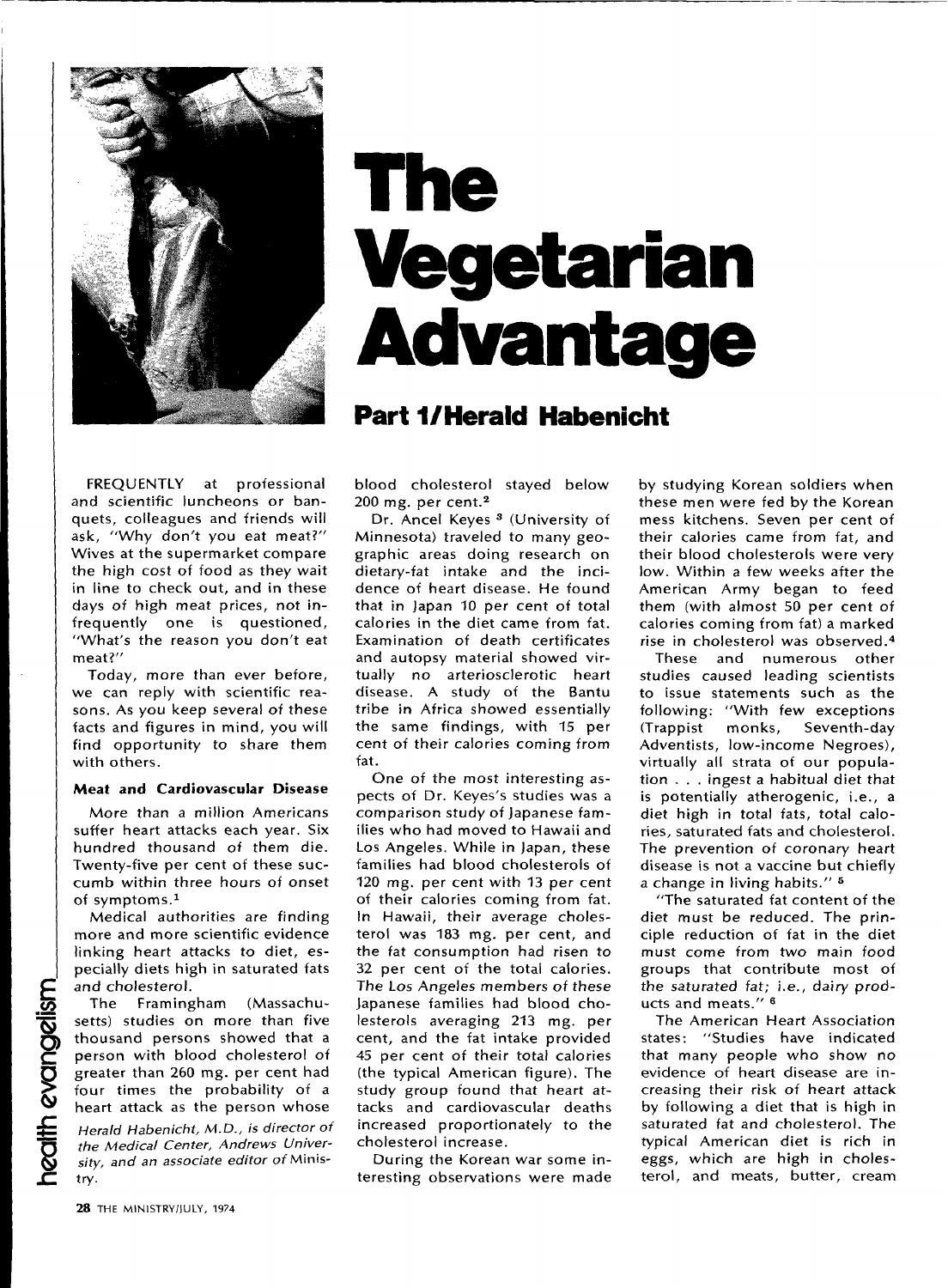

# The **Vegetarian Advantage**

## **Part 1/Herald Habenicht**

FREQUENTLY at professional and scientific luncheons or banquets, colleagues and friends will ask, "Why don't you eat meat?" Wives at the supermarket compare the high cost of food as they wait in line to check out, and in these days of high meat prices, not infrequently one is questioned, "What's the reason you don't eat meat?"

Today, more than ever before, we can reply with scientific reasons. As you keep several of these facts and figures in mind, you will find opportunity to share them with others.

#### Meat and Cardiovascular Disease

More than a million Americans suffer heart attacks each year. Six hundred thousand of them die. Twenty-five per cent of these succumb within three hours of onset of symptoms.<sup>1</sup>

Medical authorities are finding more and more scientific evidence linking heart attacks to diet, especially diets high in saturated fats and cholesterol.

The Framingham (Massachusetts) studies on more than five thousand persons showed that a person with blood cholesterol of greater than 260 mg. per cent had four times the probability of a heart attack as the person whose

Herald Habenicht, M.D., is director of the Medical Center, Andrews University, and an associate editor of Ministry.

blood cholesterol stayed below  $200$  mg. per cent. $2$ 

Dr. Ancel Keyes<sup>3</sup> (University of Minnesota) traveled to many geographic areas doing research on dietary-fat intake and the incidence of heart disease. He found that in Japan 10 per cent of total calories in the diet came from fat. Examination of death certificates and autopsy material showed virtually no arteriosclerotic heart disease. A study of the Bantu tribe in Africa showed essentially the same findings, with 15 per cent of their calories coming from fat.

One of the most interesting aspects of Dr. Keves's studies was a comparison study of Japanese families who had moved to Hawaii and Los Angeles. While in Japan, these families had blood cholesterols of 120 mg. per cent with 13 per cent of their calories coming from fat. In Hawaii, their average cholesterol was 183 mg. per cent, and the fat consumption had risen to 32 per cent of the total calories. The Los Angeles members of these Japanese families had blood cholesterols averaging 213 mg. per cent, and the fat intake provided 45 per cent of their total calories (the typical American figure). The study group found that heart attacks and cardiovascular deaths increased proportionately to the cholesterol increase.

During the Korean war some interesting observations were made by studying Korean soldiers when these men were fed by the Korean mess kitchens. Seven per cent of their calories came from fat, and their blood cholesterols were very low. Within a few weeks after the American Army began to feed them (with almost 50 per cent of calories coming from fat) a marked rise in cholesterol was observed.<sup>4</sup>

These and numerous other studies caused leading scientists to issue statements such as the following: "With few exceptions (Trappist) monks. Seventh-dav Adventists, low-income Negroes), virtually all strata of our population . . . ingest a habitual diet that is potentially atherogenic, i.e., a diet high in total fats, total calories, saturated fats and cholesterol. The prevention of coronary heart disease is not a vaccine but chiefly a change in living habits." 5

"The saturated fat content of the diet must be reduced. The principle reduction of fat in the diet must come from two main food groups that contribute most of the saturated fat; i.e., dairy products and meats." <sup>6</sup>

The American Heart Association states: "Studies have indicated that many people who show no evidence of heart disease are increasing their risk of heart attack by following a diet that is high in saturated fat and cholesterol. The typical American diet is rich in eggs, which are high in cholesterol, and meats, butter, cream

health evangelism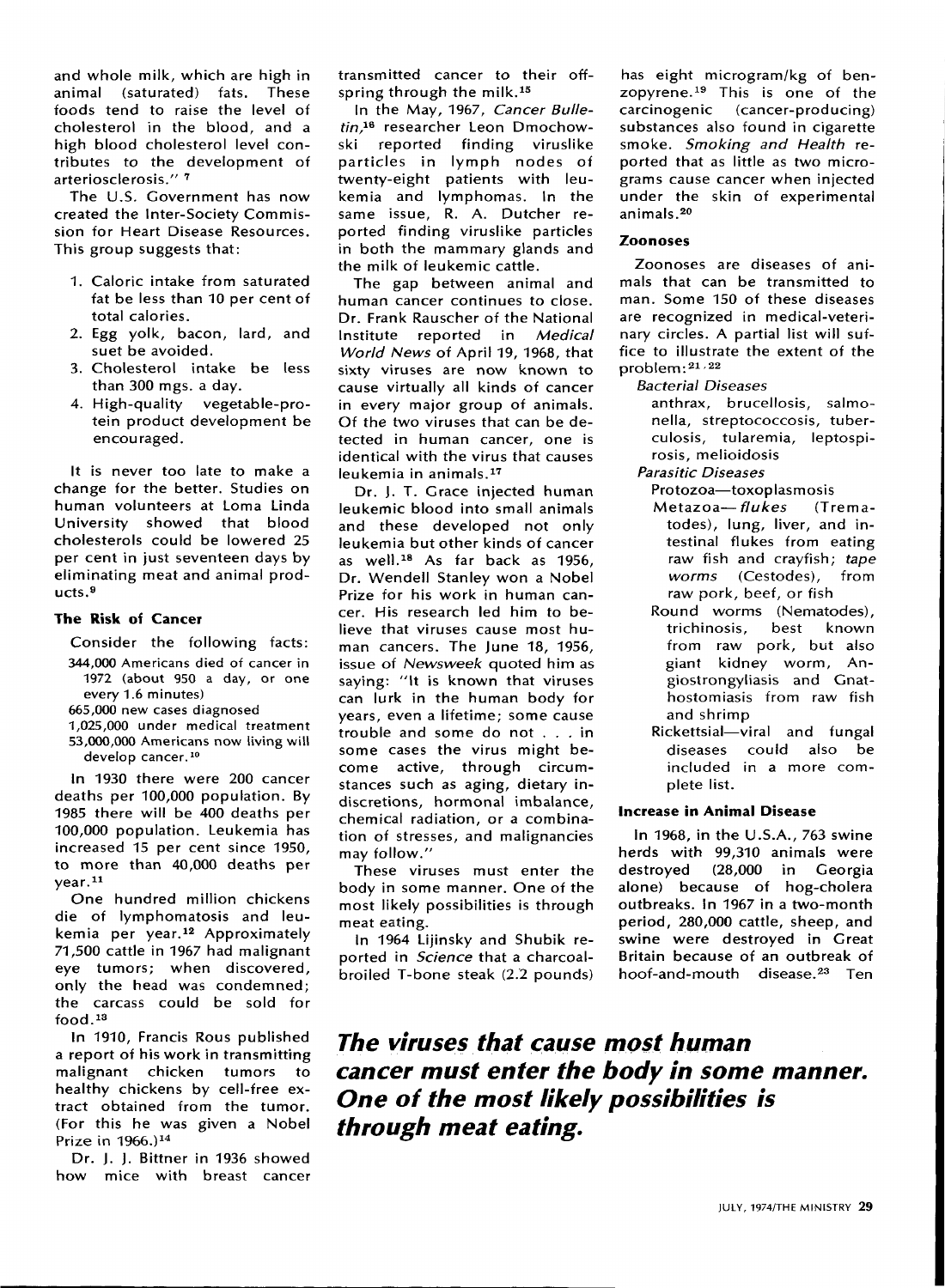and whole milk, which are high in animal (saturated) fats. These foods tend to raise the level of cholesterol in the blood, and a high blood cholesterol level con tributes to the development of arteriosclerosis." 7

The U.S. Government has now created the Inter-Society Commis sion for Heart Disease Resources. This group suggests that:

- 1. Caloric intake from saturated fat be less than 10 per cent of total calories.
- 2. Egg yolk, bacon, lard, and suet be avoided.
- 3. Cholesterol intake be less than 300 mgs. a day.
- 4. High-quality vegetable-pro tein product development be encouraged.

It is never too late to make a change for the better. Studies on human volunteers at Loma Linda University showed that blood cholesterols could be lowered 25 per cent in just seventeen days by eliminating meat and animal prod ucts. <sup>9</sup>

#### **The Risk of Cancer**

#### Consider the following facts:

- 344,000 Americans died of cancer in 1972 (about 950 a day, or one every 1.6 minutes)
- 665,000 new cases diagnosed
- 1,025,000 under medical treatment 53,000,000 Americans now living will develop cancer.<sup>10</sup>

In 1930 there were 200 cancer deaths per 100,000 population. By 1985 there will be 400 deaths per 100,000 population. Leukemia has increased 15 per cent since 1950, to more than 40,000 deaths per year. <sup>11</sup>

One hundred million chickens die of lymphomatosis and leu kemia per year.<sup>12</sup> Approximately 71,500 cattle in 1967 had malignant eye tumors; when discovered, only the head was condemned; the carcass could be sold for food. <sup>13</sup>

In 1910, Francis Rous published a report of his work in transmitting malignant chicken tumors to healthy chickens by cell-free ex tract obtained from the tumor. (For this he was given a Nobel Prize in 1966.) <sup>14</sup>

Dr. J. J. Bittner in 1936 showed how mice with breast cancer transmitted cancer to their off spring through the milk.<sup>15</sup>

In the May, 1967, *Cancer BulleíáåI! =* researcher Leon Dmochowski reported finding viruslike particles in lymph nodes of twenty-eight patients with leu kemia and lymphomas. In the same issue, R. A. Dutcher re ported finding viruslike particles in both the mammary glands and the milk of leukemic cattle.

The gap between animal and human cancer continues to close. Dr. Frank Rauscher of the National Institute reported in *Medical World News* of April 19, 1968, that sixty viruses are now known to cause virtually all kinds of cancer in every major group of animals. Of the two viruses that can be de tected in human cancer, one is identical with the virus that causes leukemia in animals. <sup>17</sup>

Dr. I. T. Grace injected human leukemic blood into small animals and these developed not only leukemia but other kinds of cancer as well.<sup>18</sup> As far back as 1956, Dr. Wendell Stanley won a Nobel Prize for his work in human can cer. His research led him to be lieve that viruses cause most hu man cancers. The June 18, 1956, issue of *Newsweek* quoted him as saying: "It is known that viruses can lurk in the human body for years, even a lifetime; some cause trouble and some do not ... in some cases the virus might be come active, through circum stances such as aging, dietary in discretions, hormonal imbalance, chemical radiation, or a combina tion of stresses, and malignancies may follow."

These viruses must enter the body in some manner. One of the most likely possibilities is through meat eating.

In 1964 Lijinsky and Shubik re ported in *Science* that a charcoalbroiled T-bone steak (2.2 pounds)

has eight microgram/kg of benzopyrene.<sup>19</sup> This is one of the carcinogenic (cancer-producing) substances also found in cigarette smoke. *Smoking and Health* reported that as little as two micrograms cause cancer when injected under the skin of experimental animals. <sup>20</sup>

#### **Zoonoses**

Zoonoses are diseases of ani mals that can be transmitted to man. Some 150 of these diseases are recognized in medical-veteri nary circles. A partial list will suf fice to illustrate the extent of the problem:  $21/22$ 

#### **Bacterial Diseases**

anthrax, brucellosis, salmo nella, streptococcosis, tuber culosis, tularemia, leptospirosis, melioidosis

**Parasitic Diseases** 

- Protozoa-toxoplasmosis
- Metazoa-*flukes* (Trematodes), lung, liver, and in testinal flukes from eating raw fish and crayfish; tape *worms* (Cestodes), from raw pork, beef, or fish
- Round worms (Nematodes),<br>trichinosis, best known best known from raw pork, but also giant kidney worm, Angiostrongyliasis and Gnathostomiasis from raw fish and shrimp
- Rickettsial-viral and fungal diseases could also be included in a more com plete list.

#### **Increase in Animal Disease**

In 1968, in the U.S.A., 763 swine herds with 99,310 animals were destroyed (28,000 in Georgia alone) because of hog-cholera outbreaks. In 1967 in a two-month period, 280,000 cattle, sheep, and swine were destroyed in Great Britain because of an outbreak of hoof-and-mouth disease.<sup>23</sup> Ten

*The viruses that cause most human cancer must enter the body in some manner. One of the most likely possibilities is through meat eating.*